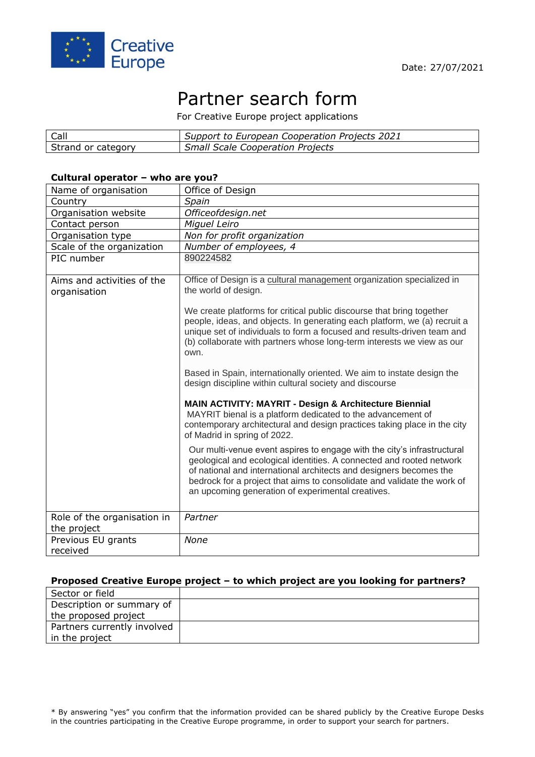

# Partner search form

For Creative Europe project applications

| Call               | Support to European Cooperation Projects 2021 |
|--------------------|-----------------------------------------------|
| Strand or category | <b>Small Scale Cooperation Projects</b>       |

#### **Cultural operator – who are you?**

| Name of organisation                       | Office of Design                                                                                                                                                                                                                                                                                                                                      |
|--------------------------------------------|-------------------------------------------------------------------------------------------------------------------------------------------------------------------------------------------------------------------------------------------------------------------------------------------------------------------------------------------------------|
| Country                                    | Spain                                                                                                                                                                                                                                                                                                                                                 |
| Organisation website                       | Officeofdesign.net                                                                                                                                                                                                                                                                                                                                    |
| Contact person                             | Miguel Leiro                                                                                                                                                                                                                                                                                                                                          |
| Organisation type                          | Non for profit organization                                                                                                                                                                                                                                                                                                                           |
| Scale of the organization                  | Number of employees, 4                                                                                                                                                                                                                                                                                                                                |
| PIC number                                 | 890224582                                                                                                                                                                                                                                                                                                                                             |
| Aims and activities of the<br>organisation | Office of Design is a cultural management organization specialized in<br>the world of design.<br>We create platforms for critical public discourse that bring together                                                                                                                                                                                |
|                                            | people, ideas, and objects. In generating each platform, we (a) recruit a<br>unique set of individuals to form a focused and results-driven team and<br>(b) collaborate with partners whose long-term interests we view as our<br>own.                                                                                                                |
|                                            | Based in Spain, internationally oriented. We aim to instate design the<br>design discipline within cultural society and discourse                                                                                                                                                                                                                     |
|                                            | MAIN ACTIVITY: MAYRIT - Design & Architecture Biennial<br>MAYRIT bienal is a platform dedicated to the advancement of<br>contemporary architectural and design practices taking place in the city<br>of Madrid in spring of 2022.                                                                                                                     |
|                                            | Our multi-venue event aspires to engage with the city's infrastructural<br>geological and ecological identities. A connected and rooted network<br>of national and international architects and designers becomes the<br>bedrock for a project that aims to consolidate and validate the work of<br>an upcoming generation of experimental creatives. |
| Role of the organisation in<br>the project | Partner                                                                                                                                                                                                                                                                                                                                               |
| Previous EU grants<br>received             | None                                                                                                                                                                                                                                                                                                                                                  |

#### **Proposed Creative Europe project – to which project are you looking for partners?**

| Sector or field             |  |
|-----------------------------|--|
| Description or summary of   |  |
| the proposed project        |  |
| Partners currently involved |  |
| in the project              |  |